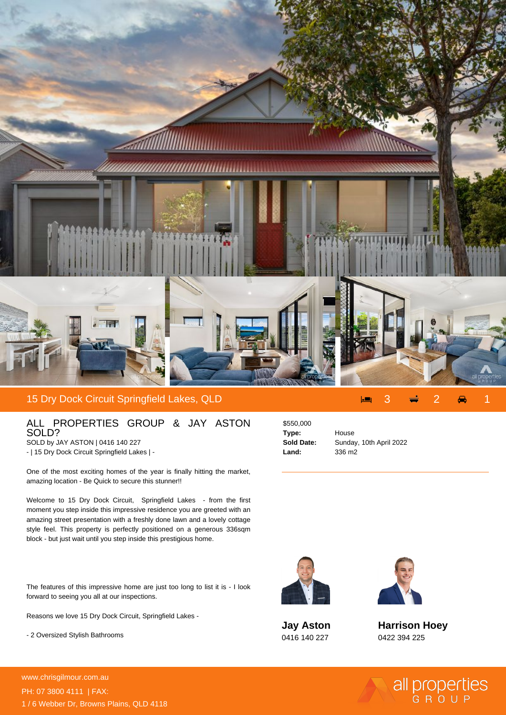

## 15 Dry Dock Circuit Springfield Lakes, QLD 3 2 1

## ALL PROPERTIES GROUP & JAY ASTON SOLD?

SOLD by JAY ASTON | 0416 140 227 - | 15 Dry Dock Circuit Springfield Lakes | -

One of the most exciting homes of the year is finally hitting the market, amazing location - Be Quick to secure this stunner!!

Welcome to 15 Dry Dock Circuit, Springfield Lakes - from the first moment you step inside this impressive residence you are greeted with an amazing street presentation with a freshly done lawn and a lovely cottage style feel. This property is perfectly positioned on a generous 336sqm block - but just wait until you step inside this prestigious home.

The features of this impressive home are just too long to list it is - I look forward to seeing you all at our inspections.

Reasons we love 15 Dry Dock Circuit, Springfield Lakes -

- 2 Oversized Stylish Bathrooms

\$550,000 **Type:** House **Land:** 336 m2

**Sold Date:** Sunday, 10th April 2022



**Jay Aston** 0416 140 227



**Harrison Hoey** 0422 394 225

all properties

**For more details please visit** www.chrisgilmour.com.au/69456999999999999999999<br>www.chrisgilmour.com.au PH: 07 3800 4111 | FAX: 1 / 6 Webber Dr, Browns Plains, QLD 4118